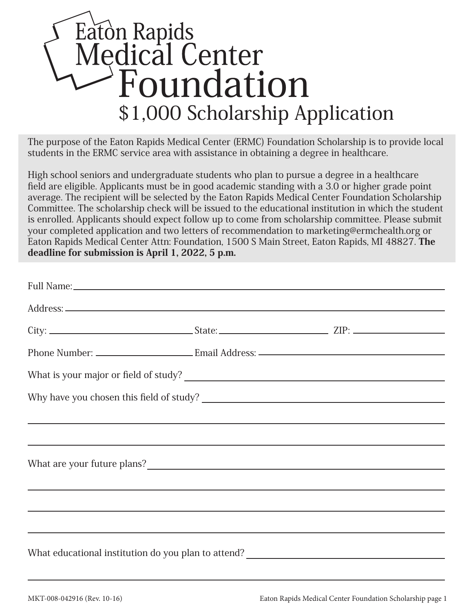## Eaton Rapids<br>Medical Center<br>Animidation \$1,000 Scholarship Application

The purpose of the Eaton Rapids Medical Center (ERMC) Foundation Scholarship is to provide local students in the ERMC service area with assistance in obtaining a degree in healthcare.

High school seniors and undergraduate students who plan to pursue a degree in a healthcare field are eligible. Applicants must be in good academic standing with a 3.0 or higher grade point average. The recipient will be selected by the Eaton Rapids Medical Center Foundation Scholarship Committee. The scholarship check will be issued to the educational institution in which the student is enrolled. Applicants should expect follow up to come from scholarship committee. Please submit your completed application and two letters of recommendation to marketing@ermchealth.org or Eaton Rapids Medical Center Attn: Foundation, 1500 S Main Street, Eaton Rapids, MI 48827. The deadline for submission is April 1, 2022, 5 p.m.

|  | <u> 2000 - Andrea Andrewski, amerikansk politik (d. 1989)</u>                                                         |  |  |  |
|--|-----------------------------------------------------------------------------------------------------------------------|--|--|--|
|  | <u> 1999 - Jan Barbara, martxa al II-lea (h. 1989).</u>                                                               |  |  |  |
|  |                                                                                                                       |  |  |  |
|  | <u> 1999 - Johann Harry Harry Harry Harry Harry Harry Harry Harry Harry Harry Harry Harry Harry Harry Harry Harry</u> |  |  |  |
|  | <u> 1989 - Andrea Santa Andrea Santa Andrea Santa Andrea Santa Andrea Santa Andrea Santa Andrea Santa Andrea San</u>  |  |  |  |
|  | ,我们也不会有什么。""我们的人,我们也不会有什么?""我们的人,我们也不会有什么?""我们的人,我们也不会有什么?""我们的人,我们也不会有什么?""我们的人                                      |  |  |  |
|  |                                                                                                                       |  |  |  |
|  |                                                                                                                       |  |  |  |